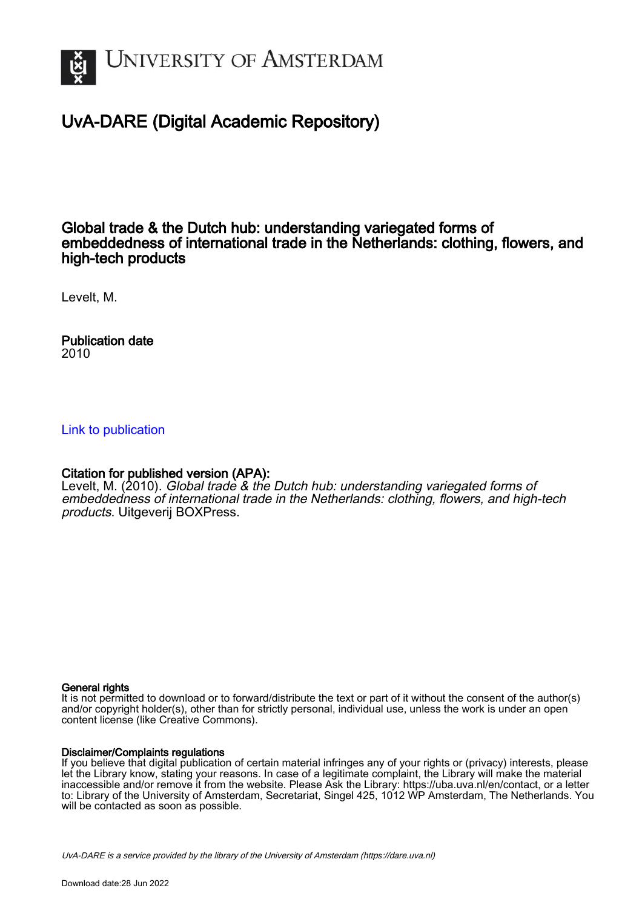

# UvA-DARE (Digital Academic Repository)

## Global trade & the Dutch hub: understanding variegated forms of embeddedness of international trade in the Netherlands: clothing, flowers, and high-tech products

Levelt, M.

Publication date 2010

[Link to publication](https://dare.uva.nl/personal/pure/en/publications/global-trade--the-dutch-hub-understanding-variegated-forms-of-embeddedness-of-international-trade-in-the-netherlands-clothing-flowers-and-hightech-products(9beb1200-09e9-4755-bc6e-01c28d01f669).html)

## Citation for published version (APA):

Levelt, M. (2010). Global trade & the Dutch hub: understanding variegated forms of embeddedness of international trade in the Netherlands: clothing, flowers, and high-tech products. Uitgeverij BOXPress.

### General rights

It is not permitted to download or to forward/distribute the text or part of it without the consent of the author(s) and/or copyright holder(s), other than for strictly personal, individual use, unless the work is under an open content license (like Creative Commons).

## Disclaimer/Complaints regulations

If you believe that digital publication of certain material infringes any of your rights or (privacy) interests, please let the Library know, stating your reasons. In case of a legitimate complaint, the Library will make the material inaccessible and/or remove it from the website. Please Ask the Library: https://uba.uva.nl/en/contact, or a letter to: Library of the University of Amsterdam, Secretariat, Singel 425, 1012 WP Amsterdam, The Netherlands. You will be contacted as soon as possible.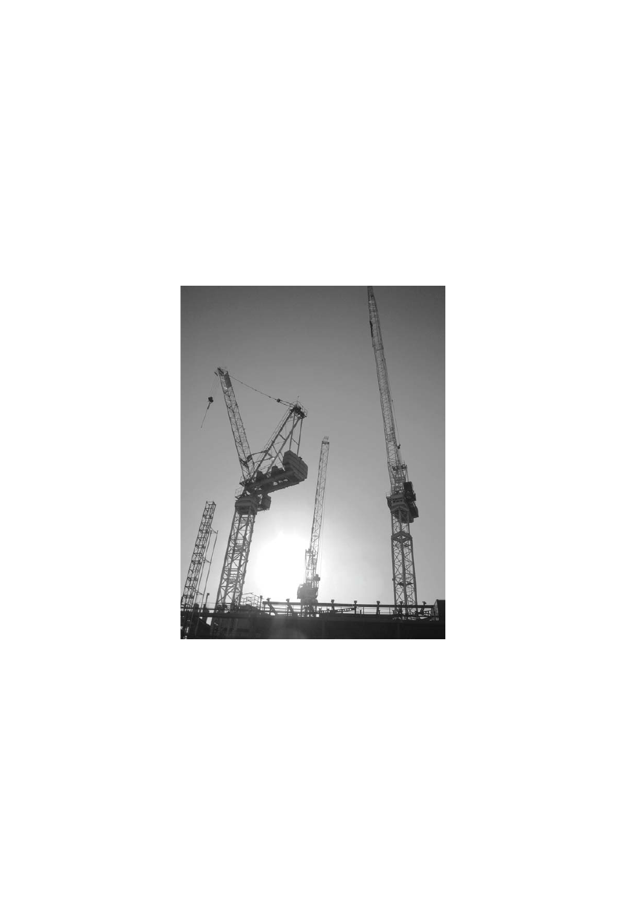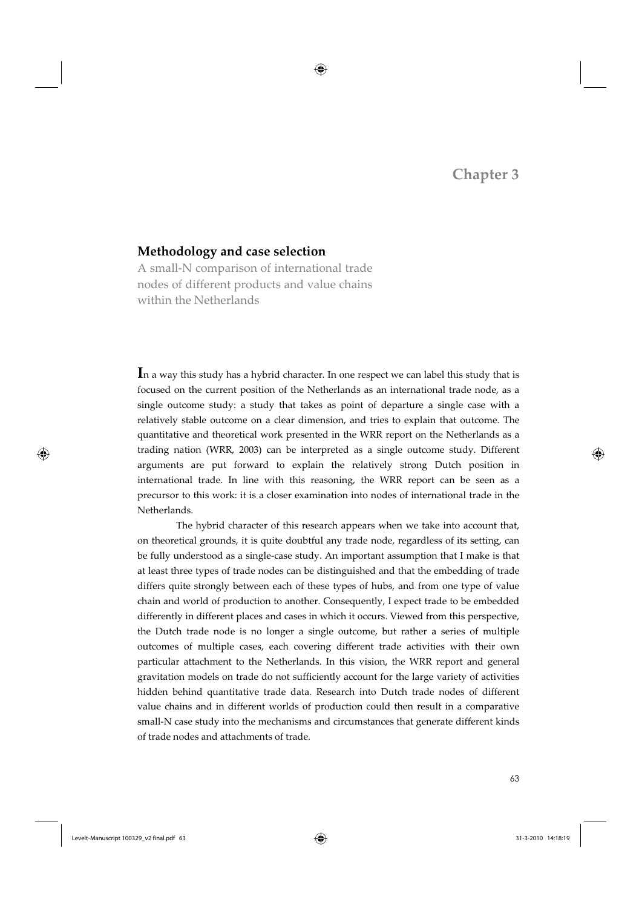## **Chapter 3**

## **Methodology-and-case-selection-**

A small-N comparison of international trade nodes of different products and value chains within the Netherlands

 ${\bf I}$ n a way this study has a hybrid character. In one respect we can label this study that is focused on the current position of the Netherlands as an international trade node, as a single-outcome study: a study that takes as point of departure a single case with a relatively stable outcome on a clear dimension, and tries to explain that outcome. The quantitative and theoretical work presented in the WRR report on the Netherlands as a trading nation (WRR, 2003) can be interpreted as a single outcome study. Different arguments are put forward to explain the relatively strong Dutch position in international trade. In line with this reasoning, the WRR report can be seen as a precursor to this work: it is a closer examination into nodes of international trade in the Netherlands.

The hybrid character of this research appears when we take into account that, on theoretical grounds, it is quite doubtful any trade node, regardless of its setting, can be fully understood as a single-case study. An important assumption that I make is that at least three types of trade nodes can be distinguished and that the embedding of trade differs quite strongly between each of these types of hubs, and from one type of value chain and world of production to another. Consequently, I expect trade to be embedded differently in different places and cases in which it occurs. Viewed from this perspective, the Dutch trade node is no longer a single outcome, but rather a series of multiple outcomes of multiple cases, each covering different trade activities with their own particular attachment to the Netherlands. In this vision, the WRR report and general gravitation models on trade do not sufficiently account for the large variety of activities hidden behind quantitative trade data. Research into Dutch trade nodes of different value chains and in different worlds of production could then result in a comparative small-N case study into the mechanisms and circumstances that generate different kinds of trade nodes and attachments of trade.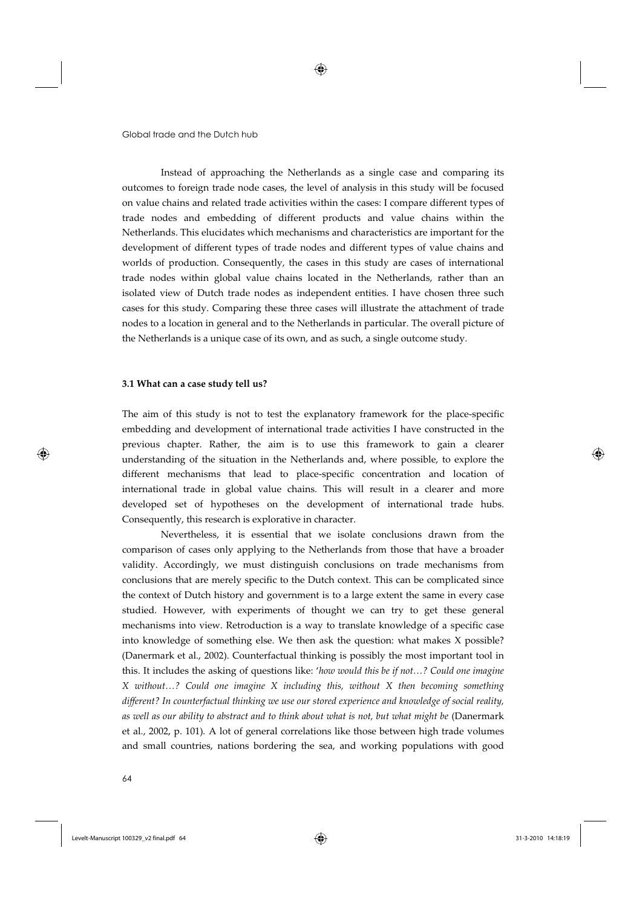Instead of approaching the Netherlands as a single case and comparing its outcomes to foreign trade node cases, the level of analysis in this study will be focused on value chains and related trade activities within the cases: I compare different types of trade nodes and embedding of different products and value chains within the Netherlands. This elucidates which mechanisms and characteristics are important for the development of different types of trade nodes and different types of value chains and worlds of production. Consequently, the cases in this study are cases of international trade nodes within global value chains located in the Netherlands, rather than an isolated view of Dutch trade nodes as independent entities. I have chosen three such cases for this study. Comparing these three cases will illustrate the attachment of trade nodes to a location in general and to the Netherlands in particular. The overall picture of the Netherlands is a unique case of its own, and as such, a single outcome study.

#### **3.1-What-can-a-case-study-tell-us?-**

The aim of this study is not to test the explanatory framework for the place-specific embedding and development of international trade activities I have constructed in the previous chapter. Rather, the aim is to use this framework to gain a clearer understanding of the situation in the Netherlands and, where possible, to explore the different mechanisms that lead to place-specific concentration and location of international trade in global value chains. This will result in a clearer and more developed set of hypotheses on the development of international trade hubs. Consequently, this research is explorative in character.

Nevertheless, it is essential that we isolate conclusions drawn from the comparison of cases only applying to the Netherlands from those that have a broader validity. Accordingly, we must distinguish conclusions on trade mechanisms from conclusions that are merely specific to the Dutch context. This can be complicated since the context of Dutch history and government is to a large extent the same in every case studied. However, with experiments of thought we can try to get these general mechanisms into view. Retroduction is a way to translate knowledge of a specific case into knowledge of something else. We then ask the question: what makes X possible? (Danermark et al., 2002). Counterfactual thinking is possibly the most important tool in this. It includes the asking of questions like: 'how would this be if not...? Could one imagine *X- without…?- Could- one- imagine- X- including- this,- without- X- then- becoming- something different?-In-counterfactual-thinking-we-use-our-stored-experience-and-knowledge-of-social-reality,* as well as our ability to abstract and to think about what is not, but what might be (Danermark et al., 2002, p. 101). A lot of general correlations like those between high trade volumes and small countries, nations bordering the sea, and working populations with good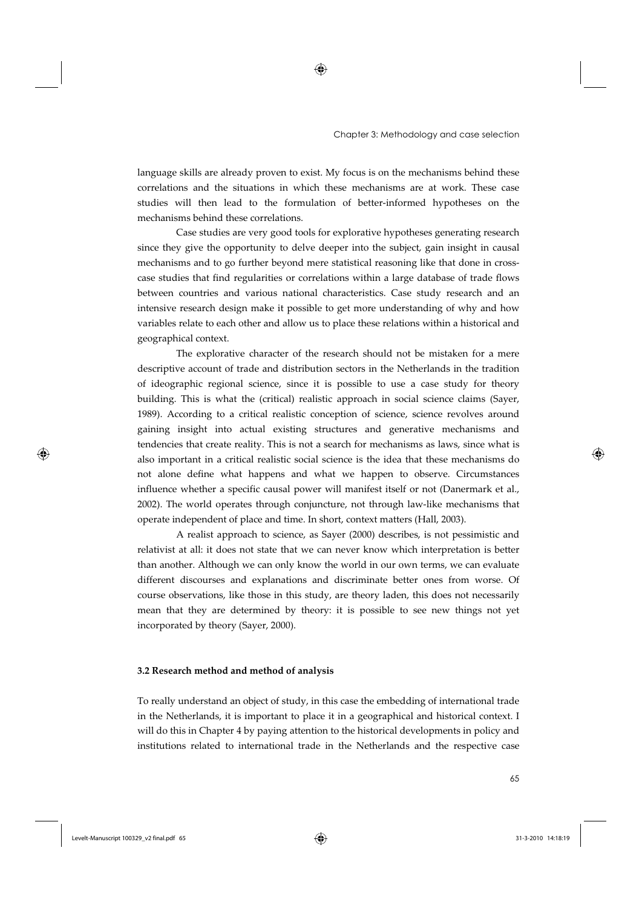language skills are already proven to exist. My focus is on the mechanisms behind these correlations and the situations in which these mechanisms are at work. These case studies will then lead to the formulation of better-informed hypotheses on the mechanisms behind these correlations.

Case studies are very good tools for explorative hypotheses generating research since they give the opportunity to delve deeper into the subject, gain insight in causal mechanisms and to go further beyond mere statistical reasoning like that done in crosscase studies that find regularities or correlations within a large database of trade flows between countries and various national characteristics. Case study research and an intensive research design make it possible to get more understanding of why and how variables relate to each other and allow us to place these relations within a historical and geographical context.

The explorative character of the research should not be mistaken for a mere descriptive account of trade and distribution sectors in the Netherlands in the tradition of ideographic regional science, since it is possible to use a case study for theory building. This is what the (critical) realistic approach in social science claims (Sayer, 1989). According to a critical realistic conception of science, science revolves around gaining insight into actual existing structures and generative mechanisms and tendencies that create reality. This is not a search for mechanisms as laws, since what is also important in a critical realistic social science is the idea that these mechanisms do not alone define what happens and what we happen to observe. Circumstances influence whether a specific causal power will manifest itself or not (Danermark et al., 2002). The world operates through conjuncture, not through law-like mechanisms that operate independent of place and time. In short, context matters (Hall, 2003).

A realist approach to science, as Sayer (2000) describes, is not pessimistic and relativist at all: it does not state that we can never know which interpretation is better than another. Although we can only know the world in our own terms, we can evaluate different discourses and explanations and discriminate better ones from worse. Of course observations, like those in this study, are theory laden, this does not necessarily mean-that they are determined by theory: it is possible to see new things not yet incorporated by theory (Sayer, 2000).

#### **3.2-Research-method-and-method-of-analysis-**

To really understand an object of study, in this case the embedding of international trade in the Netherlands, it is important to place it in a geographical and historical context. I will do this in Chapter 4 by paying attention to the historical developments in policy and institutions related to international trade in the Netherlands and the respective case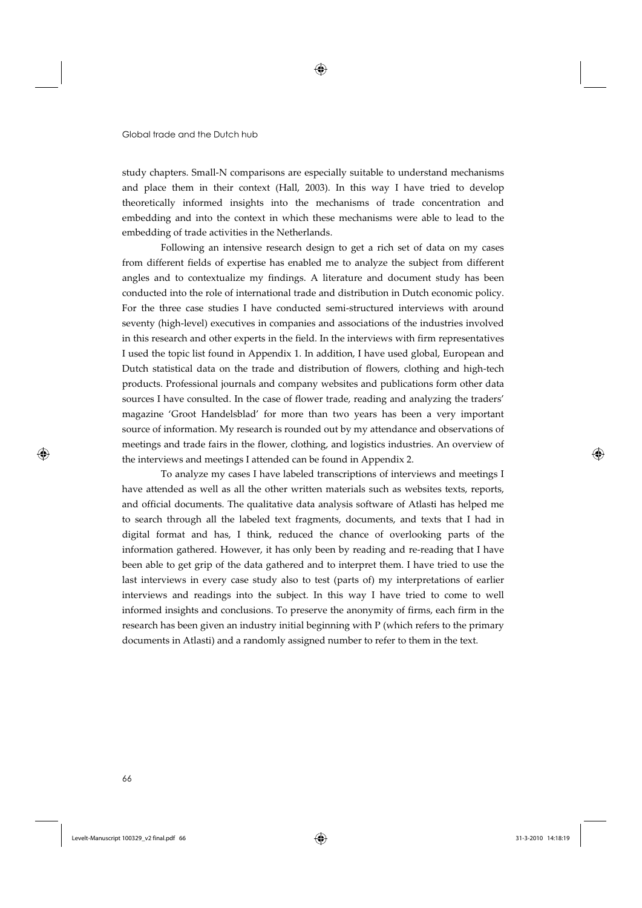study chapters. Small-N comparisons are especially suitable to understand mechanisms and place them in their context (Hall, 2003). In this way I have tried to develop theoretically informed insights into the mechanisms of trade concentration and embedding and into the context in which these mechanisms were able to lead to the embedding of trade activities in the Netherlands.

Following an intensive research design to get a rich set of data on my cases from-different-fields of expertise has enabled me to analyze the subject from different angles and to contextualize my-findings. A literature and document study has been conducted into the role of international trade and distribution in Dutch economic policy. For the three case studies I have conducted semi-structured interviews with around seventy (high-level) executives in companies and associations of the industries involved in this research and other experts in the field. In the interviews with firm representatives I used the topic list found in Appendix 1. In addition, I have used global, European and Dutch statistical data on the trade and distribution of flowers, clothing and high-tech products. Professional journals and company websites and publications form other data sources I have consulted. In the case of flower trade, reading and analyzing the traders' magazine 'Groot Handelsblad' for more than two years has been a very important source of information. My research is rounded out by my attendance and observations of meetings and trade fairs in the flower, clothing, and logistics industries. An overview of the interviews and meetings I attended can be found in Appendix 2.

To analyze my cases I have labeled transcriptions of interviews and meetings I have attended as well as all the other written materials such as websites texts, reports, and official documents. The qualitative data analysis software of Atlasti has helped me to-search through all the labeled text fragments, documents, and texts that I had in digital format and has, I think, reduced the chance of overlooking parts of the information gathered. However, it has only been by reading and re-reading that I have been able to get grip of the data gathered and to interpret them. I have tried to use the last interviews in every case study also to test (parts of) my interpretations of earlier interviews and readings into the subject. In this way I have tried to come to well informed insights and conclusions. To preserve the anonymity of firms, each firm in the research has been given an industry initial beginning with P (which refers to the primary documents in Atlasti) and a randomly assigned number to refer to them in the text.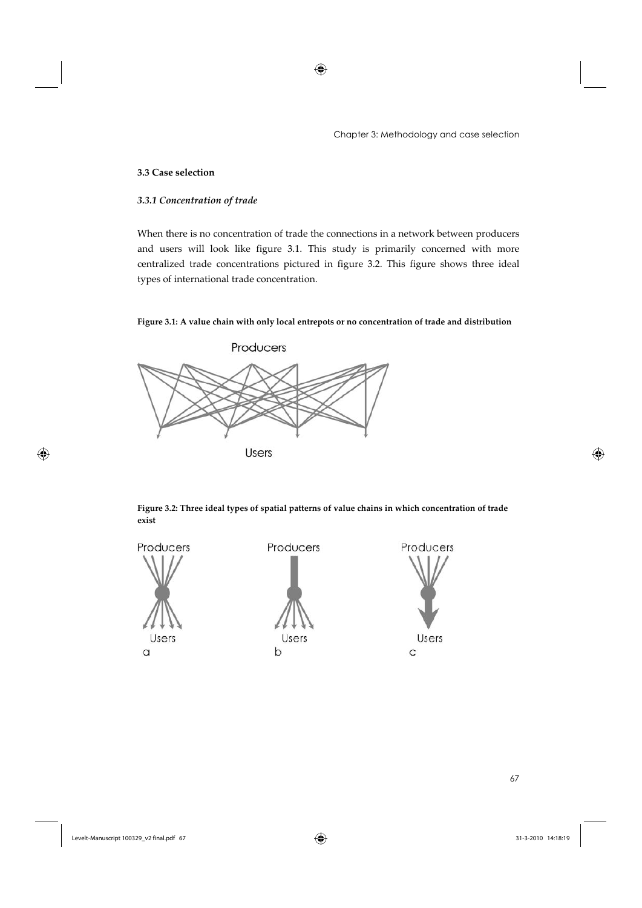## **3.3-Case-selection-**

## *3.3.1-Concentration-of-trade-*

When there is no concentration of trade the connections in a network between producers and users will look like figure 3.1. This study is primarily concerned with more centralized trade concentrations pictured in figure 3.2. This figure shows three ideal types of international trade concentration.

### Figure 3.1: A value chain with only local entrepots or no concentration of trade and distribution



Users

Figure 3.2: Three ideal types of spatial patterns of value chains in which concentration of trade **exist-**

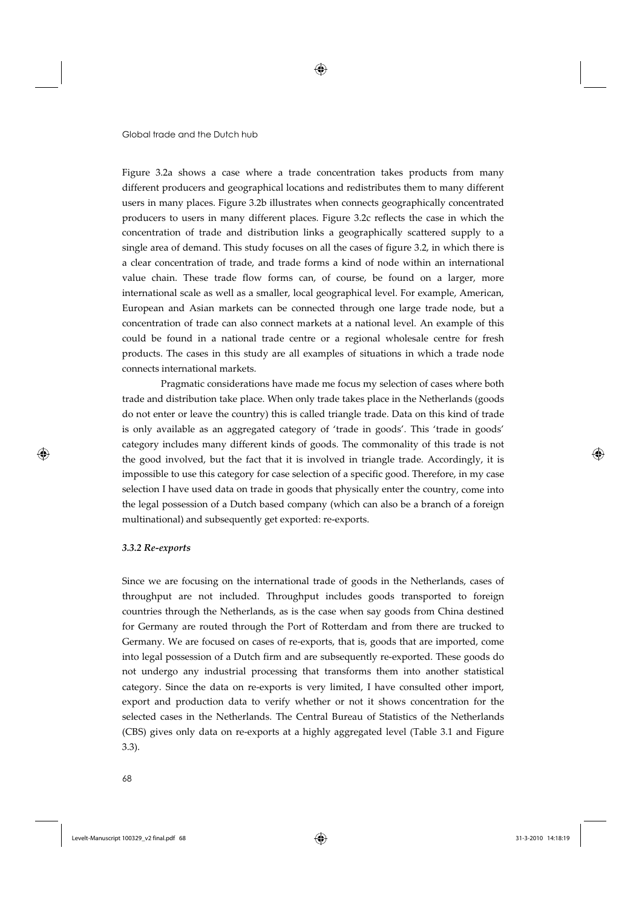Figure-3.2a shows a case where a trade concentration takes products from many different producers and geographical locations and redistributes them to many different users in many places. Figure 3.2b illustrates when connects geographically concentrated producers to users in many different places. Figure 3.2c reflects the case in which the concentration of trade and distribution links a geographically scattered supply to a single area of demand. This study focuses on all the cases of figure 3.2, in which there is a clear concentration of trade, and trade forms a kind of node within an international value chain. These trade flow forms can, of course, be found on a larger, more international scale as well as a smaller, local geographical level. For example, American, European and Asian markets can be connected through one large trade node, but a concentration of trade can also-connect markets at a national level. An example of this could be found in a national trade centre or a regional wholesale centre for fresh products. The cases in this study are all examples of situations in which a trade node connects international markets.

Pragmatic considerations have made me focus my selection of cases where both trade and distribution take place. When only trade takes place in the Netherlands (goods) do not enter or leave the country) this is called triangle trade. Data on this kind of trade is only available as an aggregated category of 'trade in goods'. This 'trade in goods' category includes many different kinds of goods. The commonality of this trade is not the good involved, but the fact that it is involved in triangle trade. Accordingly, it is impossible to use this category for case selection of a specific good. Therefore, in my case selection I have used data on trade in goods that physically enter the country, come into the legal possession of a Dutch based company (which can also be a branch of a foreign) multinational) and subsequently get exported: re-exports.

#### *3.3.2-Reexports-*

Since we are focusing on the international trade of goods in the Netherlands, cases of throughput are not included. Throughput includes goods transported to foreign countries through the Netherlands, as is the case when say goods from China destined for Germany are routed through the Port of Rotterdam and from there are trucked to Germany. We are focused on cases of re-exports, that is, goods that are imported, come into legal possession of a Dutch firm and are subsequently re-exported. These goods do not undergo any industrial processing that transforms them into another statistical category. Since the data on re-exports is very limited, I have consulted other import, export and production data to verify whether or not it shows concentration for the selected cases in the Netherlands. The Central Bureau of Statistics of the Netherlands (CBS) gives only data on re-exports at a highly aggregated level (Table 3.1 and Figure  $(3.3)$ .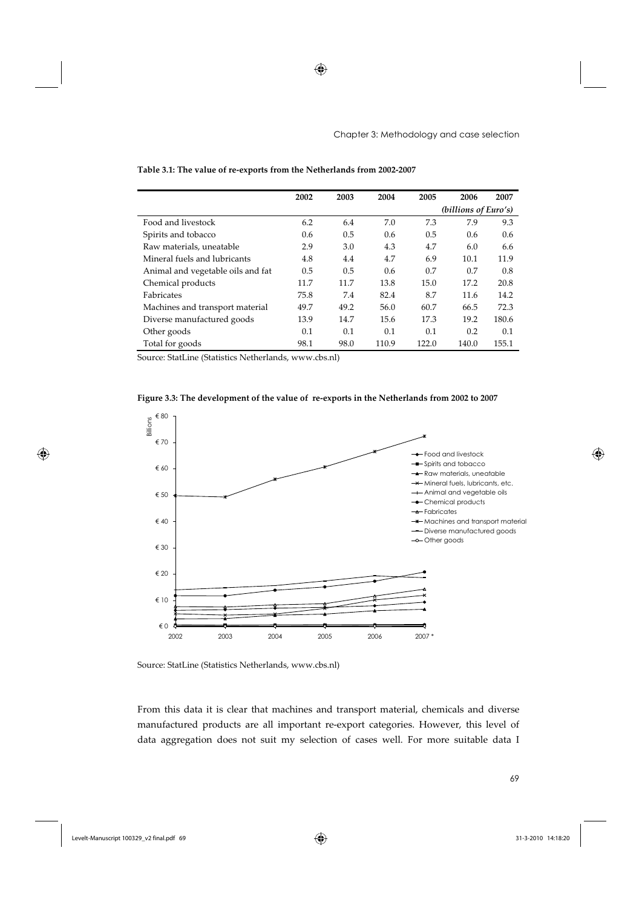|                                   | 2002 | 2003 | 2004  | 2005                 | 2006  | 2007  |  |
|-----------------------------------|------|------|-------|----------------------|-------|-------|--|
|                                   |      |      |       | (billions of Euro's) |       |       |  |
| Food and livestock                | 6.2  | 6.4  | 7.0   | 7.3                  | 7.9   | 9.3   |  |
| Spirits and tobacco               | 0.6  | 0.5  | 0.6   | 0.5                  | 0.6   | 0.6   |  |
| Raw materials, uneatable          | 2.9  | 3.0  | 4.3   | 4.7                  | 6.0   | 6.6   |  |
| Mineral fuels and lubricants      | 4.8  | 4.4  | 4.7   | 6.9                  | 10.1  | 11.9  |  |
| Animal and vegetable oils and fat | 0.5  | 0.5  | 0.6   | 0.7                  | 0.7   | 0.8   |  |
| Chemical products                 | 11.7 | 11.7 | 13.8  | 15.0                 | 17.2  | 20.8  |  |
| Fabricates                        | 75.8 | 7.4  | 82.4  | 8.7                  | 11.6  | 14.2  |  |
| Machines and transport material   | 49.7 | 49.2 | 56.0  | 60.7                 | 66.5  | 72.3  |  |
| Diverse manufactured goods        | 13.9 | 14.7 | 15.6  | 17.3                 | 19.2  | 180.6 |  |
| Other goods                       | 0.1  | 0.1  | 0.1   | 0.1                  | 0.2   | 0.1   |  |
| Total for goods                   | 98.1 | 98.0 | 110.9 | 122.0                | 140.0 | 155.1 |  |

**Table-3.1:-The-value-of-reexports-from-the-Netherlands-from-20022007-**

Source: StatLine (Statistics Netherlands, www.cbs.nl)



Figure 3.3: The development of the value of re-exports in the Netherlands from 2002 to 2007

Source: StatLine (Statistics Netherlands, www.cbs.nl)

From-this data it is clear that machines and transport material, chemicals and diverse manufactured products are all important re-export categories. However, this level of data aggregation does not suit my selection of cases well. For more suitable data I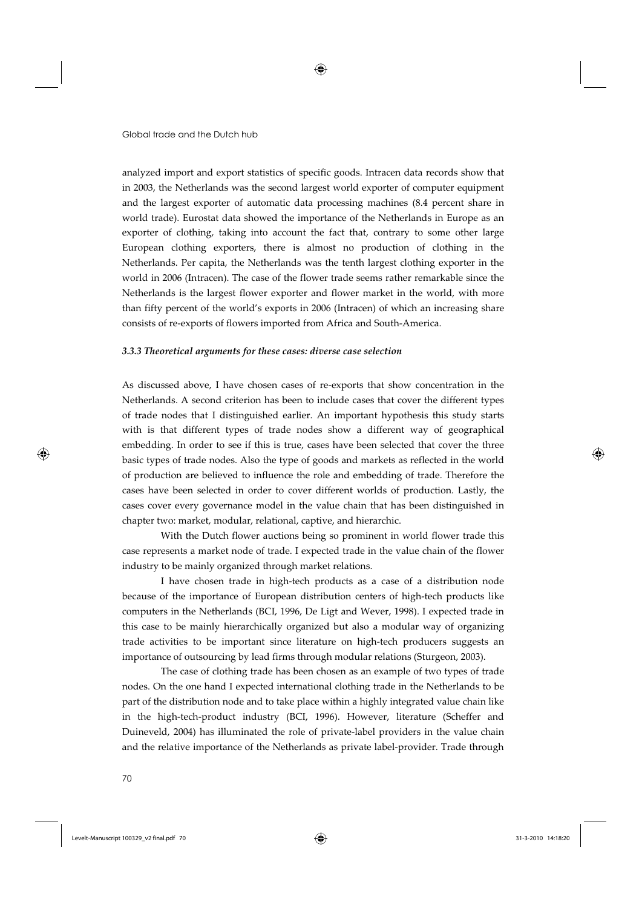analyzed import and export statistics of specific goods. Intracen data records show that in 2003, the Netherlands was the second largest world exporter of computer equipment and the largest exporter of automatic data processing machines (8.4 percent share in world trade). Eurostat data showed the importance of the Netherlands in Europe as an exporter of clothing, taking into account the fact that, contrary to some other large European clothing exporters, there is almost no production of clothing in the Netherlands. Per capita, the Netherlands was the tenth largest clothing exporter in the world in 2006 (Intracen). The case of the flower trade seems rather remarkable since the Netherlands is the largest flower exporter and flower market in the world, with more than-fifty-percent of the world's exports in 2006 (Intracen) of which an increasing share consists of re-exports of flowers imported from Africa and South-America.

#### *3.3.3-Theoretical-arguments-for-these-cases:-diverse-case-selection-*

As discussed above, I have chosen cases of re-exports that show concentration in the Netherlands. A second criterion has been to include cases that cover the different types of trade nodes that I distinguished earlier. An important hypothesis this study starts with is that different types of trade nodes show a different way of geographical embedding. In order to see if this is true, cases have been selected that cover the three basic types of trade nodes. Also the type of goods and markets as reflected in the world of production are believed to influence the role and embedding of trade. Therefore the cases have been selected in order to cover different worlds of production. Lastly, the cases cover every governance model in the value chain that has been distinguished in chapter two: market, modular, relational, captive, and hierarchic.

With the Dutch flower auctions being so prominent in world flower trade this case represents a market node of trade. I expected trade in the value chain of the flower industry to be mainly organized through market relations.

I have chosen trade in high-tech products as a case of a distribution node because of the importance of European distribution centers of high-tech products like computers in the Netherlands (BCI, 1996, De Ligt and Wever, 1998). I expected trade in this case to be mainly hierarchically organized but also a modular way of organizing trade activities to be important since literature on high-tech producers suggests an importance of outsourcing by lead firms through modular relations (Sturgeon, 2003).

The case of clothing trade has been chosen as an example of two types of trade nodes. On the one hand I expected international clothing trade in the Netherlands to be part of the distribution node and to take place within a highly integrated value chain like in the high-tech-product industry (BCI, 1996). However, literature (Scheffer and Duineveld, 2004) has illuminated the role of private-label providers in the value chain and the relative importance of the Netherlands as private label-provider. Trade through